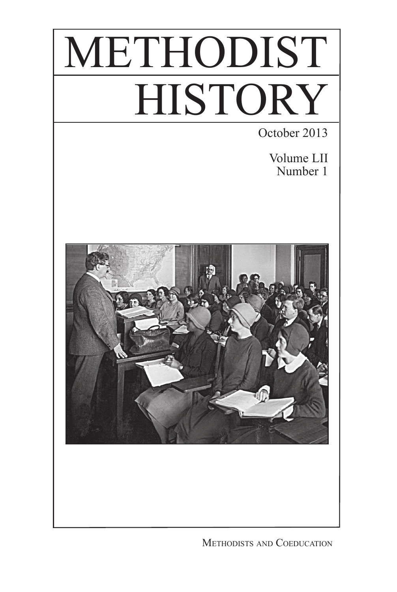

METHODISTS AND COEDUCATION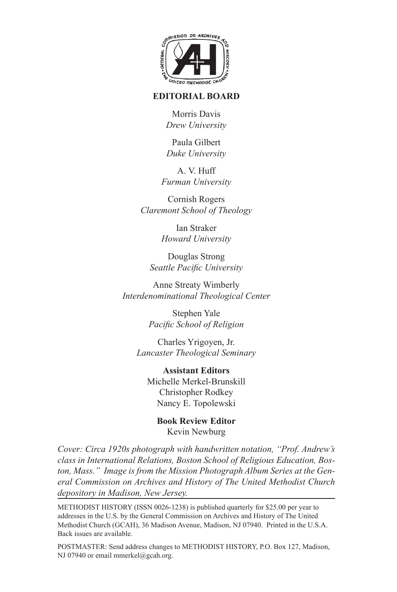

## **EDITORIAL BOARD**

Morris Davis *Drew University*

Paula Gilbert *Duke University*

A. V. Huff *Furman University*

Cornish Rogers *Claremont School of Theology*

> Ian Straker *Howard University*

Douglas Strong *Seattle Pacific University*

Anne Streaty Wimberly *Interdenominational Theological Center*

> Stephen Yale *Pacific School of Religion*

Charles Yrigoyen, Jr. *Lancaster Theological Seminary*

**Assistant Editors** Michelle Merkel-Brunskill Christopher Rodkey Nancy E. Topolewski

> **Book Review Editor** Kevin Newburg

*Cover: Circa 1920s photograph with handwritten notation, "Prof. Andrew's class in International Relations, Boston School of Religious Education, Boston, Mass." Image is from the Mission Photograph Album Series at the General Commission on Archives and History of The United Methodist Church depository in Madison, New Jersey.*

METHODIST HISTORY (ISSN 0026-1238) is published quarterly for \$25.00 per year to addresses in the U.S. by the General Commission on Archives and History of The United Methodist Church (GCAH), 36 Madison Avenue, Madison, NJ 07940. Printed in the U.S.A. Back issues are available.

POSTMASTER: Send address changes to METHODIST HISTORY, P.O. Box 127, Madison, NJ 07940 or email mmerkel@gcah.org.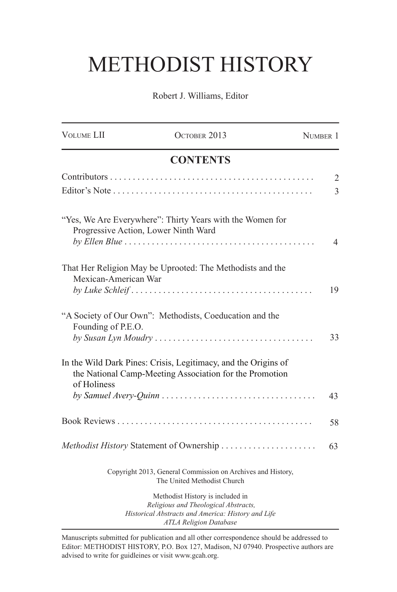## METHODIST HISTORY

Robert J. Williams, Editor

| <b>VOLUME LII</b>                    | OCTOBER 2013                                                                                                                                                         | NUMBER 1       |
|--------------------------------------|----------------------------------------------------------------------------------------------------------------------------------------------------------------------|----------------|
|                                      | <b>CONTENTS</b>                                                                                                                                                      |                |
|                                      |                                                                                                                                                                      | $\mathfrak{2}$ |
|                                      |                                                                                                                                                                      | 3              |
| Progressive Action, Lower Ninth Ward | "Yes, We Are Everywhere": Thirty Years with the Women for                                                                                                            | 4              |
| Mexican-American War                 | That Her Religion May be Uprooted: The Methodists and the<br>$by$ Luke Schleif $\ldots \ldots \ldots \ldots \ldots \ldots \ldots \ldots \ldots \ldots \ldots \ldots$ | 19             |
| Founding of P.E.O.                   | "A Society of Our Own": Methodists, Coeducation and the                                                                                                              | 33             |
| of Holiness                          | In the Wild Dark Pines: Crisis, Legitimacy, and the Origins of<br>the National Camp-Meeting Association for the Promotion                                            |                |
|                                      |                                                                                                                                                                      | 43             |
|                                      |                                                                                                                                                                      | 58             |
|                                      |                                                                                                                                                                      | 63             |
|                                      | Copyright 2013, General Commission on Archives and History,<br>The United Methodist Church                                                                           |                |
|                                      | Methodist History is included in<br>Religious and Theological Abstracts,<br>Historical Abstracts and America: History and Life<br><b>ATLA Religion Database</b>      |                |

Manuscripts submitted for publication and all other correspondence should be addressed to Editor: METHODIST HISTORY, P.O. Box 127, Madison, NJ 07940. Prospective authors are advised to write for guidleines or visit www.gcah.org.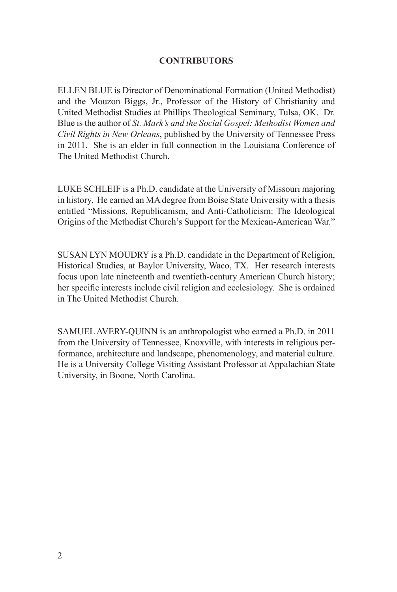## **CONTRIBUTORS**

ELLEN BLUE is Director of Denominational Formation (United Methodist) and the Mouzon Biggs, Jr., Professor of the History of Christianity and United Methodist Studies at Phillips Theological Seminary, Tulsa, OK. Dr. Blue is the author of *St. Mark's and the Social Gospel: Methodist Women and Civil Rights in New Orleans*, published by the University of Tennessee Press in 2011. She is an elder in full connection in the Louisiana Conference of The United Methodist Church.

LUKE SCHLEIF is a Ph.D. candidate at the University of Missouri majoring in history. He earned an MA degree from Boise State University with a thesis entitled "Missions, Republicanism, and Anti-Catholicism: The Ideological Origins of the Methodist Church's Support for the Mexican-American War."

SUSAN LYN MOUDRY is a Ph.D. candidate in the Department of Religion, Historical Studies, at Baylor University, Waco, TX. Her research interests focus upon late nineteenth and twentieth-century American Church history; her specific interests include civil religion and ecclesiology. She is ordained in The United Methodist Church.

SAMUEL AVERY-QUINN is an anthropologist who earned a Ph.D. in 2011 from the University of Tennessee, Knoxville, with interests in religious performance, architecture and landscape, phenomenology, and material culture. He is a University College Visiting Assistant Professor at Appalachian State University, in Boone, North Carolina.